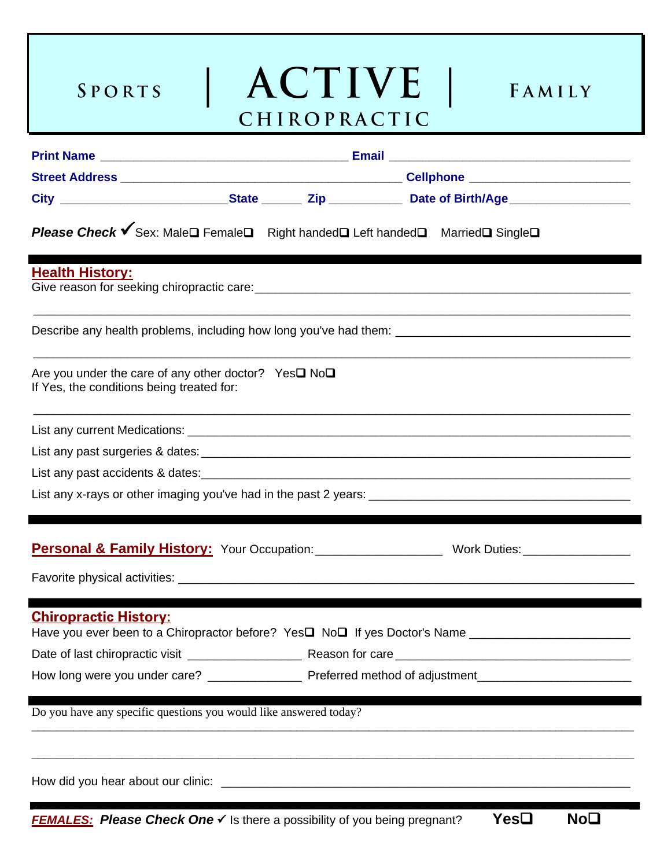SPORTS

I



FAMILY

| Please Check V Sex: Male□ Female□ Right handed□ Left handed□ Married□ Single□                                       |  |  |  |                                                                    |  |
|---------------------------------------------------------------------------------------------------------------------|--|--|--|--------------------------------------------------------------------|--|
| <b>Health History:</b>                                                                                              |  |  |  |                                                                    |  |
|                                                                                                                     |  |  |  |                                                                    |  |
| Are you under the care of any other doctor? Yes $\square$ No $\square$<br>If Yes, the conditions being treated for: |  |  |  |                                                                    |  |
|                                                                                                                     |  |  |  |                                                                    |  |
|                                                                                                                     |  |  |  |                                                                    |  |
|                                                                                                                     |  |  |  |                                                                    |  |
|                                                                                                                     |  |  |  |                                                                    |  |
|                                                                                                                     |  |  |  | Personal & Family History: Your Occupation: We Marked Mork Duties: |  |
|                                                                                                                     |  |  |  |                                                                    |  |
| <b>Chiropractic History:</b>                                                                                        |  |  |  |                                                                    |  |
|                                                                                                                     |  |  |  |                                                                    |  |
|                                                                                                                     |  |  |  |                                                                    |  |
| Do you have any specific questions you would like answered today?                                                   |  |  |  |                                                                    |  |
|                                                                                                                     |  |  |  |                                                                    |  |